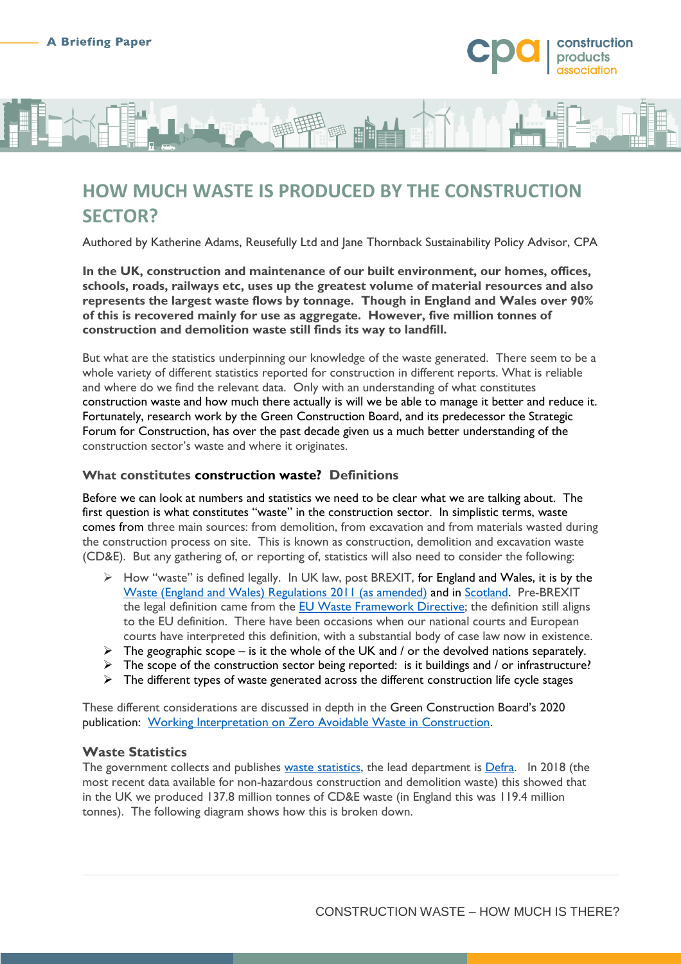

# **HOW MUCH WASTE IS PRODUCED BY THE CONSTRUCTION SECTOR?**

Authored by Katherine Adams, Reusefully Ltd and Jane Thornback Sustainability Policy Advisor, CPA

**In the UK, construction and maintenance of our built environment, our homes, offices, schools, roads, railways etc, uses up the greatest volume of material resources and also represents the largest waste flows by tonnage. Though in England and Wales over 90% of this is recovered mainly for use as aggregate. However, five million tonnes of construction and demolition waste still finds its way to landfill.**

But what are the statistics underpinning our knowledge of the waste generated. There seem to be a whole variety of different statistics reported for construction in different reports. What is reliable and where do we find the relevant data. Only with an understanding of what constitutes construction waste and how much there actually is will we be able to manage it better and reduce it. Fortunately, research work by the Green Construction Board, and its predecessor the Strategic Forum for Construction, has over the past decade given us a much better understanding of the construction sector's waste and where it originates.

#### **What constitutes construction waste? Definitions**

Before we can look at numbers and statistics we need to be clear what we are talking about. The first question is what constitutes "waste" in the construction sector. In simplistic terms, waste comes from three main sources: from demolition, from excavation and from materials wasted during the construction process on site. This is known as construction, demolition and excavation waste (CD&E). But any gathering of, or reporting of, statistics will also need to consider the following:

- $\triangleright$  How "waste" is defined legally. In UK law, post BREXIT, for England and Wales, it is by the [Waste \(England and Wales\) Regulations 2011 \(as amended\)](https://www.legislation.gov.uk/uksi/2011/988/contents) and in [Scotland.](https://www.gov.scot/publications/waste-legislation/) Pre-BREXIT the legal definition came from the **EU Waste Framework Directive**; the definition still aligns to the EU definition. There have been occasions when our national courts and European courts have interpreted this definition, with a substantial body of case law now in existence.
- $\triangleright$  The geographic scope is it the whole of the UK and / or the devolved nations separately.
- $\triangleright$  The scope of the construction sector being reported: is it buildings and / or infrastructure?
- $\triangleright$  The different types of waste generated across the different construction life cycle stages

These different considerations are discussed in depth in the Green Construction Board's 2020 publication: [Working Interpretation on Zero Avoidable Waste in Construction.](https://www.constructionleadershipcouncil.co.uk/wp-content/uploads/2016/05/ZAW-Report-Final-Draft-25-February-2020.pdf)

#### **Waste Statistics**

The government collects and publishes [waste statistics,](https://www.gov.uk/government/statistical-data-sets/env23-uk-waste-data-and-management) the lead department is [Defra.](https://www.gov.uk/government/organisations/department-for-environment-food-rural-affairs) In 2018 (the most recent data available for non-hazardous construction and demolition waste) this showed that in the UK we produced 137.8 million tonnes of CD&E waste (in England this was 119.4 million tonnes). The following diagram shows how this is broken down.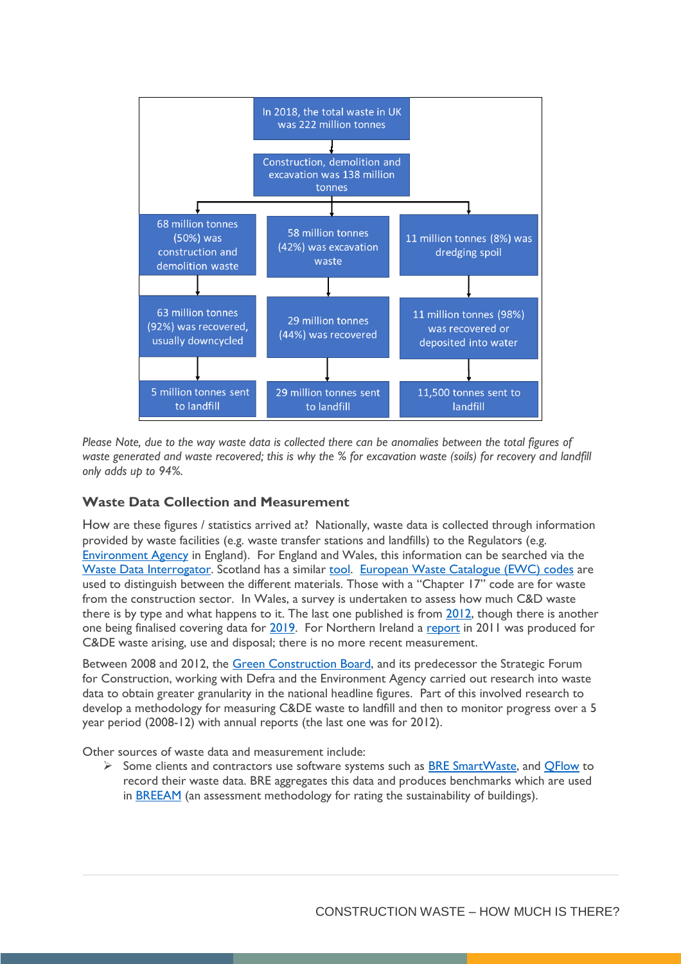

*Please Note, due to the way waste data is collected there can be anomalies between the total figures of waste generated and waste recovered; this is why the % for excavation waste (soils) for recovery and landfill only adds up to 94%.* 

### **Waste Data Collection and Measurement**

How are these figures / statistics arrived at? Nationally, waste data is collected through information provided by waste facilities (e.g. waste transfer stations and landfills) to the Regulators (e.g. [Environment Agency](https://www.gov.uk/government/organisations/environment-agency) in England). For England and Wales, this information can be searched via the [Waste Data Interrogator.](https://data.gov.uk/dataset/d409b2ba-796c-4436-82c7-eb1831a9ef25/2019-waste-data-interrogator) Scotland has a similar [tool.](https://informatics.sepa.org.uk/WasteAllSources/) [European Waste Catalogue \(EWC\) codes](https://eur-lex.europa.eu/legal-content/EN/TXT/?uri=CELEX:02000D0532-20150601) are used to distinguish between the different materials. Those with a "Chapter 17" code are for waste from the construction sector. In Wales, a survey is undertaken to assess how much C&D waste there is by type and what happens to it. The last one published is from [2012,](https://naturalresources.wales/evidence-and-data/research-and-reports/waste-reports/construction-demolition-waste-survey/?lang=en) though there is another one being finalised covering data for [2019.](https://naturalresources.wales/evidence-and-data/research-and-reports/waste-reports/construction-and-demolition-waste-survey-2019/?lang=en) For Northern Ireland a [report](https://www.daera-ni.gov.uk/publications/construction-demolition-and-excavation-waste-arisings-use-and-disposal-northern-ireland) in 2011 was produced for C&DE waste arising, use and disposal; there is no more recent measurement.

Between 2008 and 2012, the [Green Construction Board,](https://www.constructionleadershipcouncil.co.uk/about/) and its predecessor the Strategic Forum for Construction, working with Defra and the Environment Agency carried out research into waste data to obtain greater granularity in the national headline figures. Part of this involved research to develop a methodology for measuring C&DE waste to landfill and then to monitor progress over a 5 year period (2008-12) with annual reports (the last one was for 2012).

Other sources of waste data and measurement include:

Some clients and contractors use software systems such as **BRE SmartWaste**, and  $\overline{QFlow}$  to record their waste data. BRE aggregates this data and produces benchmarks which are used in [BREEAM](https://www.breeam.com/) (an assessment methodology for rating the sustainability of buildings).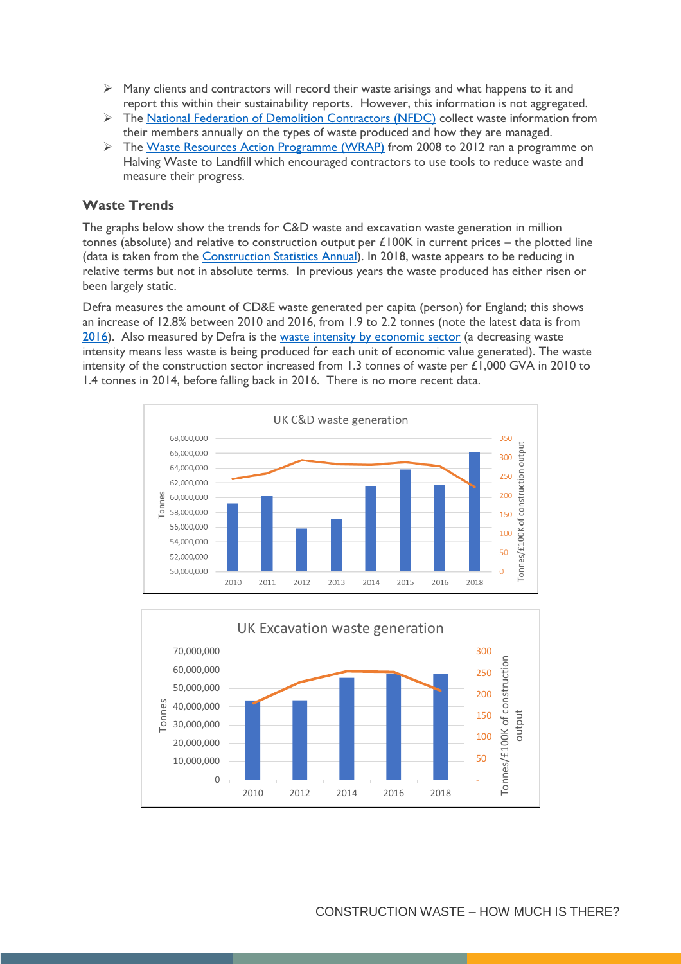- $\triangleright$  Many clients and contractors will record their waste arisings and what happens to it and report this within their sustainability reports. However, this information is not aggregated.
- $\triangleright$  The [National Federation of Demolition Contractors \(NFDC\)](https://demolition-nfdc.com/) collect waste information from their members annually on the types of waste produced and how they are managed.
- The [Waste Resources Action Programme \(WRAP\)](https://wrap.org.uk/) from 2008 to 2012 ran a programme on Halving Waste to Landfill which encouraged contractors to use tools to reduce waste and measure their progress.

### **Waste Trends**

The graphs below show the trends for C&D waste and excavation waste generation in million tonnes (absolute) and relative to construction output per  $£100K$  in current prices – the plotted line (data is taken from the [Construction Statistics Annual\)](https://www.ons.gov.uk/businessindustryandtrade/constructionindustry/datasets/constructionstatisticsannualtables). In 2018, waste appears to be reducing in relative terms but not in absolute terms. In previous years the waste produced has either risen or been largely static.

Defra measures the amount of CD&E waste generated per capita (person) for England; this shows an increase of 12.8% between 2010 and 2016, from 1.9 to 2.2 tonnes (note the latest data is from [2016\)](https://assets.publishing.service.gov.uk/government/uploads/system/uploads/attachment_data/file/907029/resources-and-waste-strategy-monitoring-progress.pdf). Also measured by Defra is the [waste intensity by economic sector](https://assets.publishing.service.gov.uk/government/uploads/system/uploads/attachment_data/file/907029/resources-and-waste-strategy-monitoring-progress.pdf) (a decreasing waste intensity means less waste is being produced for each unit of economic value generated). The waste intensity of the construction sector increased from 1.3 tonnes of waste per £1,000 GVA in 2010 to 1.4 tonnes in 2014, before falling back in 2016. There is no more recent data.